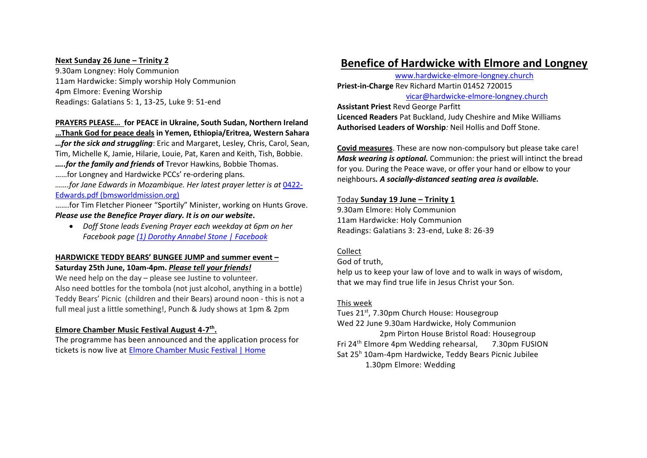#### **Next Sunday 26 June – Trinity 2**

9.30am Longney: Holy Communion 11am Hardwicke: Simply worship Holy Communion 4pm Elmore: Evening Worship Readings: Galatians 5: 1, 13-25, Luke 9: 51-end

## **PRAYERS PLEASE… for PEACE in Ukraine, South Sudan, Northern Ireland**

**…Thank God for peace deals in Yemen, Ethiopia/Eritrea, Western Sahara**

*…for the sick and struggling*: Eric and Margaret, Lesley, Chris, Carol, Sean, Tim, Michelle K, Jamie, Hilarie, Louie, Pat, Karen and Keith, Tish, Bobbie. *…..for the family and friends* **of** Trevor Hawkins, Bobbie Thomas.

……for Longney and Hardwicke PCCs' re-ordering plans.

*…….for Jane Edwards in Mozambique. Her latest prayer letter is at* 0422- Edwards.pdf (bmsworldmission.org)

…….for Tim Fletcher Pioneer "Sportily" Minister, working on Hunts Grove. *Please use the Benefice Prayer diary. It is on our website***.**

• *Doff Stone leads Evening Prayer each weekday at 6pm on her Facebook page (1) Dorothy Annabel Stone | Facebook*

## **HARDWICKE TEDDY BEARS' BUNGEE JUMP and summer event – Saturday 25th June, 10am-4pm.** *Please tell your friends!*

We need help on the day – please see Justine to volunteer. Also need bottles for the tombola (not just alcohol, anything in a bottle) Teddy Bears' Picnic (children and their Bears) around noon - this is not a full meal just a little something!, Punch & Judy shows at 1pm & 2pm

## **Elmore Chamber Music Festival August 4-7 th .**

The programme has been announced and the application process for tickets is now live at Elmore Chamber Music Festival | Home

# **Benefice of Hardwicke with Elmore and Longney**

www.hardwicke-elmore-longney.church **Priest-in-Charge** Rev Richard Martin 01452 720015 vicar@hardwicke-elmore-longney.church

**Assistant Priest** Revd George Parfitt **Licenced Readers** Pat Buckland, Judy Cheshire and Mike Williams **Authorised Leaders of Worship***:* Neil Hollis and Doff Stone.

**Covid measures**. These are now non-compulsory but please take care! *Mask wearing is optional.* Communion: the priest will intinct the bread for you. During the Peace wave, or offer your hand or elbow to your neighbours*. A socially-distanced seating area is available.*

#### Today **Sunday 19 June – Trinity 1**

9.30am Elmore: Holy Communion 11am Hardwicke: Holy Communion Readings: Galatians 3: 23-end, Luke 8: 26-39

## Collect

God of truth,

help us to keep your law of love and to walk in ways of wisdom, that we may find true life in Jesus Christ your Son.

## This week

Tues 21<sup>st</sup>, 7.30pm Church House: Housegroup

Wed 22 June 9.30am Hardwicke, Holy Communion 2pm Pirton House Bristol Road: Housegroup Fri 24th Elmore 4pm Wedding rehearsal, 7.30pm FUSION Sat 25<sup>h</sup> 10am-4pm Hardwicke, Teddy Bears Picnic Jubilee 1.30pm Elmore: Wedding